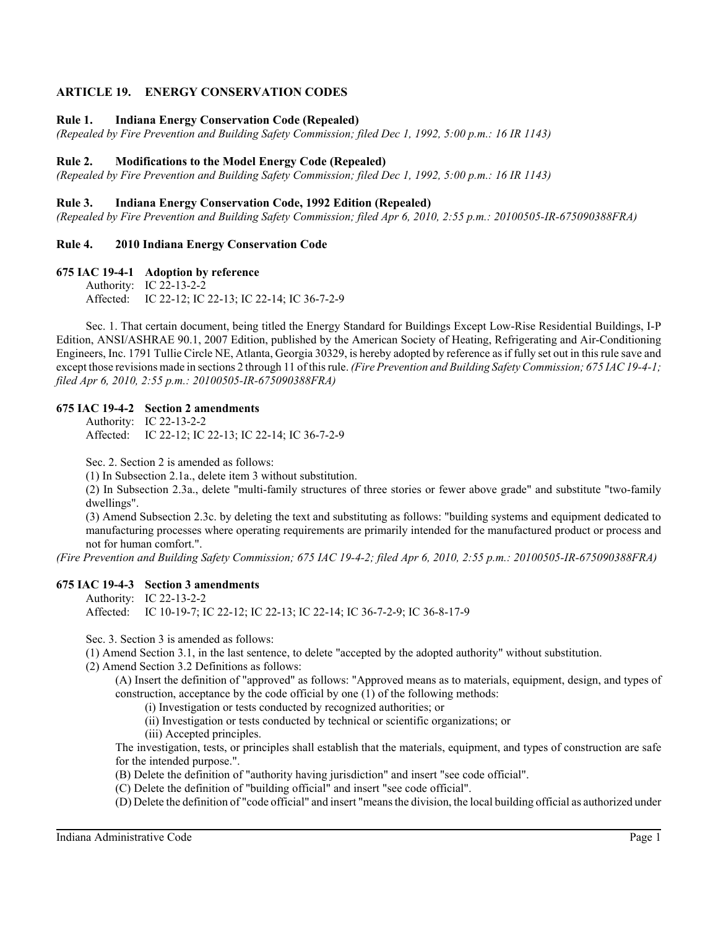# **ARTICLE 19. ENERGY CONSERVATION CODES**

### **Rule 1. Indiana Energy Conservation Code (Repealed)**

*(Repealed by Fire Prevention and Building Safety Commission; filed Dec 1, 1992, 5:00 p.m.: 16 IR 1143)*

#### **Rule 2. Modifications to the Model Energy Code (Repealed)**

*(Repealed by Fire Prevention and Building Safety Commission; filed Dec 1, 1992, 5:00 p.m.: 16 IR 1143)*

### **Rule 3. Indiana Energy Conservation Code, 1992 Edition (Repealed)**

*(Repealed by Fire Prevention and Building Safety Commission; filed Apr 6, 2010, 2:55 p.m.: 20100505-IR-675090388FRA)*

#### **Rule 4. 2010 Indiana Energy Conservation Code**

**675 IAC 19-4-1 Adoption by reference**

Authority: IC 22-13-2-2 Affected: IC 22-12; IC 22-13; IC 22-14; IC 36-7-2-9

Sec. 1. That certain document, being titled the Energy Standard for Buildings Except Low-Rise Residential Buildings, I-P Edition, ANSI/ASHRAE 90.1, 2007 Edition, published by the American Society of Heating, Refrigerating and Air-Conditioning Engineers, Inc. 1791 Tullie Circle NE, Atlanta, Georgia 30329, is hereby adopted by reference as if fully set out in this rule save and except those revisions made in sections 2 through 11 of this rule. *(Fire Prevention and Building Safety Commission; 675 IAC 19-4-1; filed Apr 6, 2010, 2:55 p.m.: 20100505-IR-675090388FRA)*

#### **675 IAC 19-4-2 Section 2 amendments**

Authority: IC 22-13-2-2 Affected: IC 22-12; IC 22-13; IC 22-14; IC 36-7-2-9

Sec. 2. Section 2 is amended as follows:

(1) In Subsection 2.1a., delete item 3 without substitution.

(2) In Subsection 2.3a., delete "multi-family structures of three stories or fewer above grade" and substitute "two-family dwellings".

(3) Amend Subsection 2.3c. by deleting the text and substituting as follows: "building systems and equipment dedicated to manufacturing processes where operating requirements are primarily intended for the manufactured product or process and not for human comfort.".

*(Fire Prevention and Building Safety Commission; 675 IAC 19-4-2; filed Apr 6, 2010, 2:55 p.m.: 20100505-IR-675090388FRA)*

## **675 IAC 19-4-3 Section 3 amendments**

Authority: IC 22-13-2-2

Affected: IC 10-19-7; IC 22-12; IC 22-13; IC 22-14; IC 36-7-2-9; IC 36-8-17-9

Sec. 3. Section 3 is amended as follows:

(1) Amend Section 3.1, in the last sentence, to delete "accepted by the adopted authority" without substitution.

(2) Amend Section 3.2 Definitions as follows:

(A) Insert the definition of "approved" as follows: "Approved means as to materials, equipment, design, and types of construction, acceptance by the code official by one (1) of the following methods:

- (i) Investigation or tests conducted by recognized authorities; or
- (ii) Investigation or tests conducted by technical or scientific organizations; or
- (iii) Accepted principles.

The investigation, tests, or principles shall establish that the materials, equipment, and types of construction are safe for the intended purpose.".

(B) Delete the definition of "authority having jurisdiction" and insert "see code official".

(C) Delete the definition of "building official" and insert "see code official".

(D) Delete the definition of "code official" and insert "means the division, the local building official as authorized under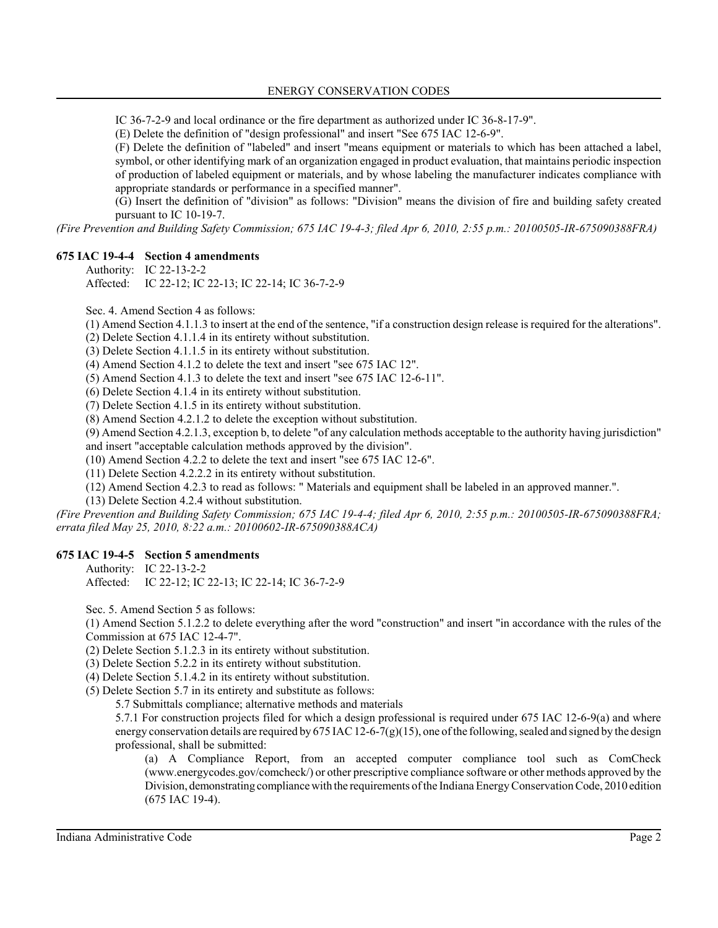IC 36-7-2-9 and local ordinance or the fire department as authorized under IC 36-8-17-9".

(E) Delete the definition of "design professional" and insert "See 675 IAC 12-6-9".

(F) Delete the definition of "labeled" and insert "means equipment or materials to which has been attached a label, symbol, or other identifying mark of an organization engaged in product evaluation, that maintains periodic inspection of production of labeled equipment or materials, and by whose labeling the manufacturer indicates compliance with appropriate standards or performance in a specified manner".

(G) Insert the definition of "division" as follows: "Division" means the division of fire and building safety created pursuant to IC 10-19-7.

*(Fire Prevention and Building Safety Commission; 675 IAC 19-4-3; filed Apr 6, 2010, 2:55 p.m.: 20100505-IR-675090388FRA)*

## **675 IAC 19-4-4 Section 4 amendments**

Authority: IC 22-13-2-2

Affected: IC 22-12; IC 22-13; IC 22-14; IC 36-7-2-9

Sec. 4. Amend Section 4 as follows:

(1) Amend Section 4.1.1.3 to insert at the end of the sentence, "if a construction design release is required for the alterations".

(2) Delete Section 4.1.1.4 in its entirety without substitution.

(3) Delete Section 4.1.1.5 in its entirety without substitution.

(4) Amend Section 4.1.2 to delete the text and insert "see 675 IAC 12".

(5) Amend Section 4.1.3 to delete the text and insert "see 675 IAC 12-6-11".

(6) Delete Section 4.1.4 in its entirety without substitution.

(7) Delete Section 4.1.5 in its entirety without substitution.

(8) Amend Section 4.2.1.2 to delete the exception without substitution.

(9) Amend Section 4.2.1.3, exception b, to delete "of any calculation methods acceptable to the authority having jurisdiction"

and insert "acceptable calculation methods approved by the division".

(10) Amend Section 4.2.2 to delete the text and insert "see 675 IAC 12-6".

(11) Delete Section 4.2.2.2 in its entirety without substitution.

(12) Amend Section 4.2.3 to read as follows: " Materials and equipment shall be labeled in an approved manner.".

(13) Delete Section 4.2.4 without substitution.

*(Fire Prevention and Building Safety Commission; 675 IAC 19-4-4; filed Apr 6, 2010, 2:55 p.m.: 20100505-IR-675090388FRA; errata filed May 25, 2010, 8:22 a.m.: 20100602-IR-675090388ACA)*

## **675 IAC 19-4-5 Section 5 amendments**

Authority: IC 22-13-2-2 Affected: IC 22-12; IC 22-13; IC 22-14; IC 36-7-2-9

Sec. 5. Amend Section 5 as follows:

(1) Amend Section 5.1.2.2 to delete everything after the word "construction" and insert "in accordance with the rules of the Commission at 675 IAC 12-4-7".

(2) Delete Section 5.1.2.3 in its entirety without substitution.

(3) Delete Section 5.2.2 in its entirety without substitution.

(4) Delete Section 5.1.4.2 in its entirety without substitution.

(5) Delete Section 5.7 in its entirety and substitute as follows:

5.7 Submittals compliance; alternative methods and materials

5.7.1 For construction projects filed for which a design professional is required under 675 IAC 12-6-9(a) and where energy conservation details are required by 675 IAC 12-6-7(g)(15), one of the following, sealed and signed by the design professional, shall be submitted:

(a) A Compliance Report, from an accepted computer compliance tool such as ComCheck (www.energycodes.gov/comcheck/) or other prescriptive compliance software or other methods approved by the Division, demonstrating compliance with the requirements of the Indiana Energy Conservation Code, 2010 edition (675 IAC 19-4).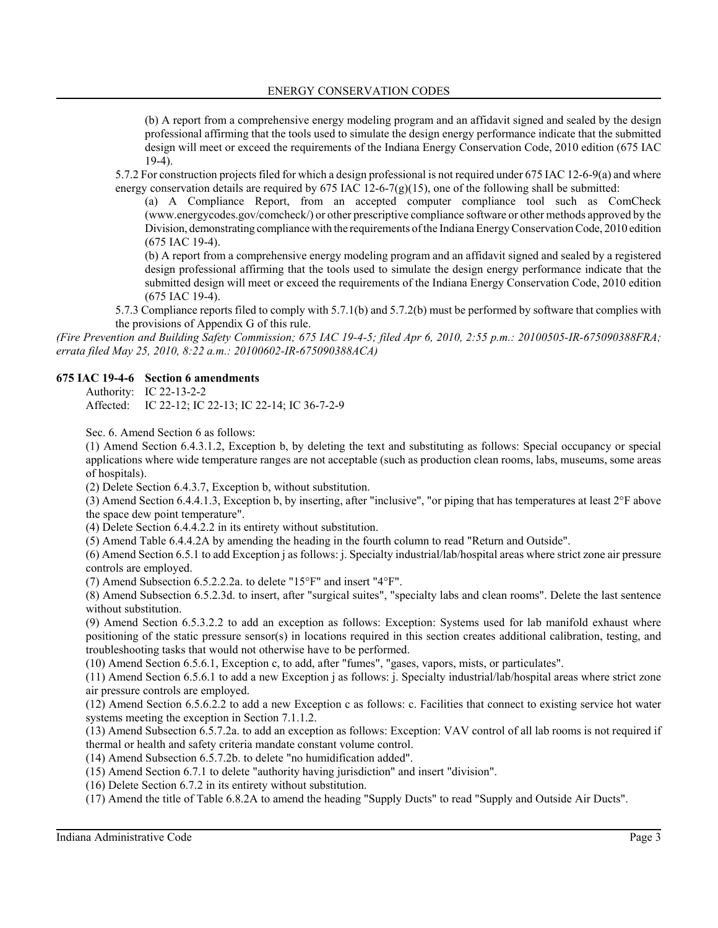(b) A report from a comprehensive energy modeling program and an affidavit signed and sealed by the design professional affirming that the tools used to simulate the design energy performance indicate that the submitted design will meet or exceed the requirements of the Indiana Energy Conservation Code, 2010 edition (675 IAC 19-4).

5.7.2 For construction projects filed for which a design professional is not required under 675 IAC 12-6-9(a) and where energy conservation details are required by 675 IAC 12-6-7(g)(15), one of the following shall be submitted:

(a) A Compliance Report, from an accepted computer compliance tool such as ComCheck (www.energycodes.gov/comcheck/) or other prescriptive compliance software or other methods approved by the Division, demonstrating compliance with the requirements of the Indiana Energy Conservation Code, 2010 edition (675 IAC 19-4).

(b) A report from a comprehensive energy modeling program and an affidavit signed and sealed by a registered design professional affirming that the tools used to simulate the design energy performance indicate that the submitted design will meet or exceed the requirements of the Indiana Energy Conservation Code, 2010 edition (675 IAC 19-4).

5.7.3 Compliance reports filed to comply with 5.7.1(b) and 5.7.2(b) must be performed by software that complies with the provisions of Appendix G of this rule.

*(Fire Prevention and Building Safety Commission; 675 IAC 19-4-5; filed Apr 6, 2010, 2:55 p.m.: 20100505-IR-675090388FRA; errata filed May 25, 2010, 8:22 a.m.: 20100602-IR-675090388ACA)*

## **675 IAC 19-4-6 Section 6 amendments**

Authority: IC 22-13-2-2 Affected: IC 22-12; IC 22-13; IC 22-14; IC 36-7-2-9

Sec. 6. Amend Section 6 as follows:

(1) Amend Section 6.4.3.1.2, Exception b, by deleting the text and substituting as follows: Special occupancy or special applications where wide temperature ranges are not acceptable (such as production clean rooms, labs, museums, some areas of hospitals).

(2) Delete Section 6.4.3.7, Exception b, without substitution.

(3) Amend Section 6.4.4.1.3, Exception b, by inserting, after "inclusive", "or piping that has temperatures at least 2°F above the space dew point temperature".

(4) Delete Section 6.4.4.2.2 in its entirety without substitution.

(5) Amend Table 6.4.4.2A by amending the heading in the fourth column to read "Return and Outside".

(6) Amend Section 6.5.1 to add Exception j as follows: j. Specialty industrial/lab/hospital areas where strict zone air pressure controls are employed.

(7) Amend Subsection 6.5.2.2.2a. to delete "15°F" and insert "4°F".

(8) Amend Subsection 6.5.2.3d. to insert, after "surgical suites", "specialty labs and clean rooms". Delete the last sentence without substitution.

(9) Amend Section 6.5.3.2.2 to add an exception as follows: Exception: Systems used for lab manifold exhaust where positioning of the static pressure sensor(s) in locations required in this section creates additional calibration, testing, and troubleshooting tasks that would not otherwise have to be performed.

(10) Amend Section 6.5.6.1, Exception c, to add, after "fumes", "gases, vapors, mists, or particulates".

(11) Amend Section 6.5.6.1 to add a new Exception j as follows: j. Specialty industrial/lab/hospital areas where strict zone air pressure controls are employed.

(12) Amend Section 6.5.6.2.2 to add a new Exception c as follows: c. Facilities that connect to existing service hot water systems meeting the exception in Section 7.1.1.2.

(13) Amend Subsection 6.5.7.2a. to add an exception as follows: Exception: VAV control of all lab rooms is not required if thermal or health and safety criteria mandate constant volume control.

(14) Amend Subsection 6.5.7.2b. to delete "no humidification added".

(15) Amend Section 6.7.1 to delete "authority having jurisdiction" and insert "division".

(16) Delete Section 6.7.2 in its entirety without substitution.

(17) Amend the title of Table 6.8.2A to amend the heading "Supply Ducts" to read "Supply and Outside Air Ducts".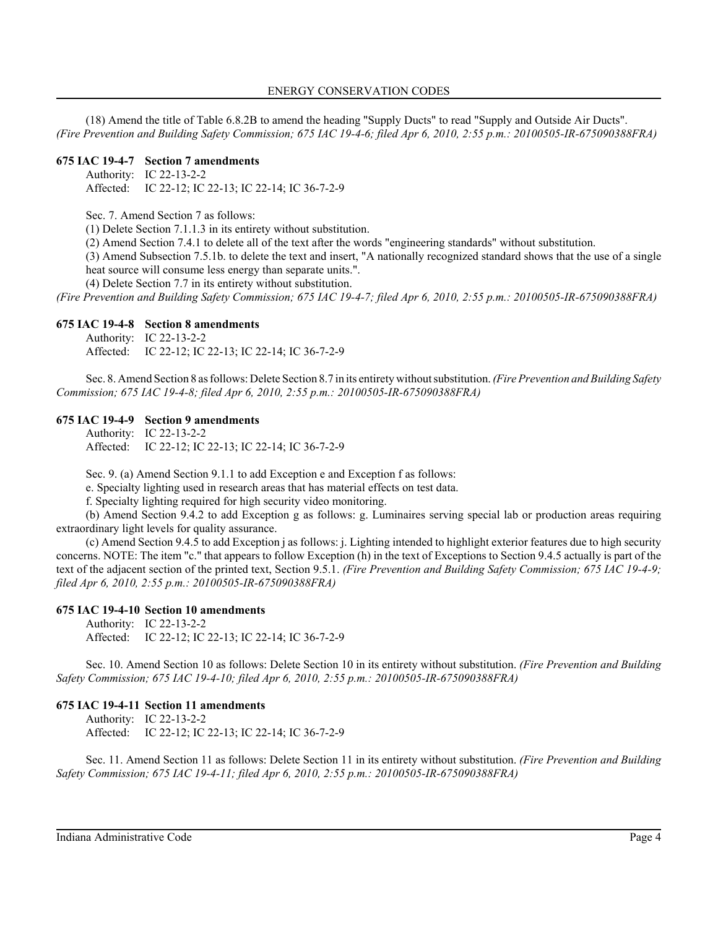(18) Amend the title of Table 6.8.2B to amend the heading "Supply Ducts" to read "Supply and Outside Air Ducts". *(Fire Prevention and Building Safety Commission; 675 IAC 19-4-6; filed Apr 6, 2010, 2:55 p.m.: 20100505-IR-675090388FRA)*

# **675 IAC 19-4-7 Section 7 amendments**

Authority: IC 22-13-2-2 Affected: IC 22-12; IC 22-13; IC 22-14; IC 36-7-2-9

Sec. 7. Amend Section 7 as follows:

(1) Delete Section 7.1.1.3 in its entirety without substitution.

(2) Amend Section 7.4.1 to delete all of the text after the words "engineering standards" without substitution.

(3) Amend Subsection 7.5.1b. to delete the text and insert, "A nationally recognized standard shows that the use of a single heat source will consume less energy than separate units.".

(4) Delete Section 7.7 in its entirety without substitution.

*(Fire Prevention and Building Safety Commission; 675 IAC 19-4-7; filed Apr 6, 2010, 2:55 p.m.: 20100505-IR-675090388FRA)*

#### **675 IAC 19-4-8 Section 8 amendments**

Authority: IC 22-13-2-2 Affected: IC 22-12; IC 22-13; IC 22-14; IC 36-7-2-9

Sec. 8. Amend Section 8 as follows: Delete Section 8.7 in its entirety without substitution. *(Fire Prevention and Building Safety Commission; 675 IAC 19-4-8; filed Apr 6, 2010, 2:55 p.m.: 20100505-IR-675090388FRA)*

#### **675 IAC 19-4-9 Section 9 amendments**

Authority: IC 22-13-2-2 Affected: IC 22-12; IC 22-13; IC 22-14; IC 36-7-2-9

Sec. 9. (a) Amend Section 9.1.1 to add Exception e and Exception f as follows:

e. Specialty lighting used in research areas that has material effects on test data.

f. Specialty lighting required for high security video monitoring.

(b) Amend Section 9.4.2 to add Exception g as follows: g. Luminaires serving special lab or production areas requiring extraordinary light levels for quality assurance.

(c) Amend Section 9.4.5 to add Exception j as follows: j. Lighting intended to highlight exterior features due to high security concerns. NOTE: The item "c." that appears to follow Exception (h) in the text of Exceptions to Section 9.4.5 actually is part of the text of the adjacent section of the printed text, Section 9.5.1. *(Fire Prevention and Building Safety Commission; 675 IAC 19-4-9; filed Apr 6, 2010, 2:55 p.m.: 20100505-IR-675090388FRA)*

## **675 IAC 19-4-10 Section 10 amendments**

Authority: IC 22-13-2-2 Affected: IC 22-12; IC 22-13; IC 22-14; IC 36-7-2-9

Sec. 10. Amend Section 10 as follows: Delete Section 10 in its entirety without substitution. *(Fire Prevention and Building Safety Commission; 675 IAC 19-4-10; filed Apr 6, 2010, 2:55 p.m.: 20100505-IR-675090388FRA)*

## **675 IAC 19-4-11 Section 11 amendments**

Authority: IC 22-13-2-2 Affected: IC 22-12; IC 22-13; IC 22-14; IC 36-7-2-9

Sec. 11. Amend Section 11 as follows: Delete Section 11 in its entirety without substitution. *(Fire Prevention and Building Safety Commission; 675 IAC 19-4-11; filed Apr 6, 2010, 2:55 p.m.: 20100505-IR-675090388FRA)*